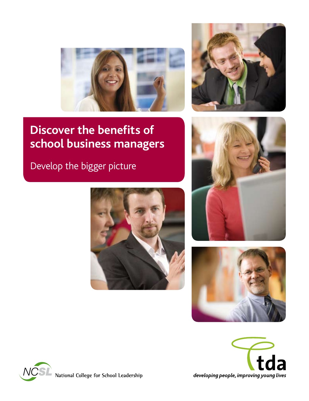



# **Discover the benefits of school business managers**

Develop the bigger picture











National College for School Leadership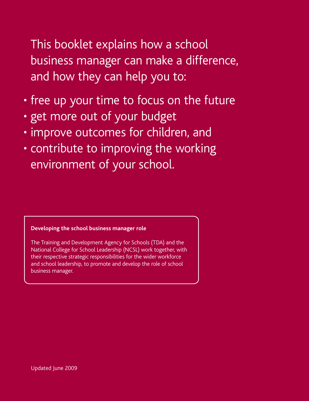This booklet explains how a school business manager can make a difference, and how they can help you to:

- free up your time to focus on the future
- get more out of your budget
- improve outcomes for children, and
- contribute to improving the working environment of your school.

**Developing the school business manager role**

The Training and Development Agency for Schools (TDA) and the National College for School Leadership (NCSL) work together, with their respective strategic responsibilities for the wider workforce and school leadership, to promote and develop the role of school business manager.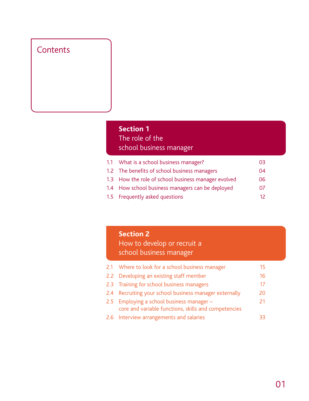# **Contents**

# **Section 1** The role of the school business manager

| 1.1 What is a school business manager?              | 03 |
|-----------------------------------------------------|----|
| 1.2 The benefits of school business managers        | 04 |
| 1.3 How the role of school business manager evolved | 06 |
| 1.4 How school business managers can be deployed    | 07 |
| 1.5 Frequently asked questions                      | 12 |

# **Section 2**

 How to develop or recruit a school business manager

| 2.1 Where to look for a school business manager                                                   | 15 |
|---------------------------------------------------------------------------------------------------|----|
| 2.2 Developing an existing staff member                                                           | 16 |
| 2.3 Training for school business managers                                                         | 17 |
| 2.4 Recruiting your school business manager externally                                            | 20 |
| 2.5 Employing a school business manager -<br>core and variable functions, skills and competencies | 21 |
| 2.6 Interview arrangements and salaries                                                           |    |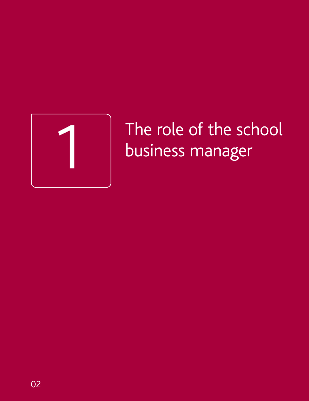

# The role of the school<br>business manager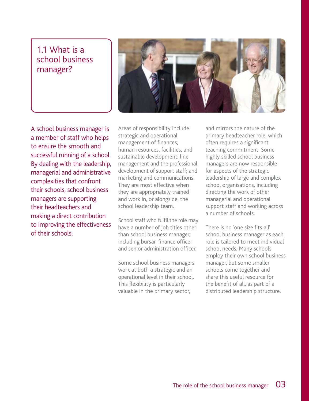# 1.1 What is a school business manager?



A school business manager is a member of staff who helps to ensure the smooth and successful running of a school. By dealing with the leadership, managerial and administrative complexities that confront their schools, school business managers are supporting their headteachers and making a direct contribution to improving the effectiveness of their schools.

Areas of responsibility include strategic and operational management of finances, human resources, facilities, and sustainable development; line management and the professional development of support staff; and marketing and communications. They are most effective when they are appropriately trained and work in, or alongside, the school leadership team.

School staff who fulfil the role may have a number of job titles other than school business manager, including bursar, finance officer and senior administration officer.

Some school business managers work at both a strategic and an operational level in their school. This flexibility is particularly valuable in the primary sector,

and mirrors the nature of the primary headteacher role, which often requires a significant teaching commitment. Some highly skilled school business managers are now responsible for aspects of the strategic leadership of large and complex school organisations, including directing the work of other managerial and operational support staff and working across a number of schools.

There is no 'one size fits all' school business manager as each role is tailored to meet individual school needs. Many schools employ their own school business manager, but some smaller schools come together and share this useful resource for the benefit of all, as part of a distributed leadership structure.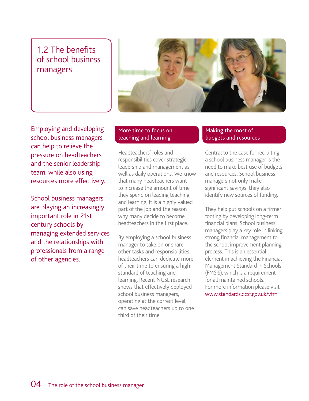# 1.2 The benefits of school business managers



Employing and developing school business managers can help to relieve the pressure on headteachers and the senior leadership team, while also using resources more effectively.

School business managers are playing an increasingly important role in 21st century schools by managing extended services and the relationships with professionals from a range of other agencies.

#### More time to focus on teaching and learning

Headteachers' roles and responsibilities cover strategic leadership and management as well as daily operations. We know that many headteachers want to increase the amount of time they spend on leading teaching and learning. It is a highly valued part of the job and the reason why many decide to become headteachers in the first place.

By employing a school business manager to take on or share other tasks and responsibilities, headteachers can dedicate more of their time to ensuring a high standard of teaching and learning. Recent NCSL research shows that effectively deployed school business managers, operating at the correct level, can save headteachers up to one third of their time.

#### Making the most of budgets and resources

Central to the case for recruiting a school business manager is the need to make best use of budgets and resources. School business managers not only make significant savings, they also identify new sources of funding.

They help put schools on a firmer footing by developing long-term financial plans. School business managers play a key role in linking strong financial management to the school improvement planning process. This is an essential element in achieving the Financial Management Standard in Schools (FMSiS), which is a requirement for all maintained schools. For more information please visit www.standards.dcsf.gov.uk/vfm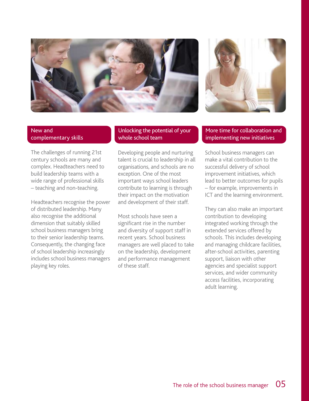



#### New and complementary skills

The challenges of running 21st century schools are many and complex. Headteachers need to build leadership teams with a wide range of professional skills – teaching and non-teaching.

Headteachers recognise the power of distributed leadership. Many also recognise the additional dimension that suitably skilled school business managers bring to their senior leadership teams. Consequently, the changing face of school leadership increasingly includes school business managers playing key roles.

#### Unlocking the potential of your whole school team

Developing people and nurturing talent is crucial to leadership in all organisations, and schools are no exception. One of the most important ways school leaders contribute to learning is through their impact on the motivation and development of their staff.

Most schools have seen a significant rise in the number and diversity of support staff in recent years. School business managers are well placed to take on the leadership, development and performance management of these staff.

#### More time for collaboration and implementing new initiatives

School business managers can make a vital contribution to the successful delivery of school improvement initiatives, which lead to better outcomes for pupils – for example, improvements in ICT and the learning environment.

They can also make an important contribution to developing integrated working through the extended services offered by schools. This includes developing and managing childcare facilities, after-school activities, parenting support, liaison with other agencies and specialist support services, and wider community access facilities, incorporating adult learning.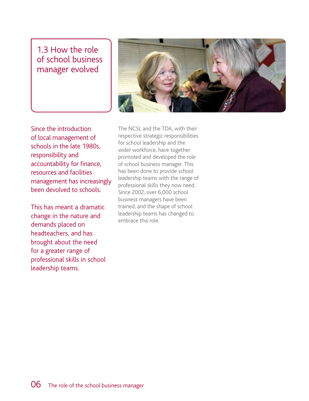# 1.3 How the role of school business manager evolved



Since the introduction of local management of schools in the late 1980s, responsibility and accountability for finance, resources and facilities management has increasingly been devolved to schools.

This has meant a dramatic change in the nature and demands placed on headteachers, and has brought about the need for a greater range of professional skills in school leadership teams.

The NCSL and the TDA, with their respective strategic responsibilities for school leadership and the wider workforce, have together promoted and developed the role of school business manager. This has been done to provide school leadership teams with the range of professional skills they now need. Since 2002, over 6,000 school business managers have been trained, and the shape of school leadership teams has changed to embrace this role.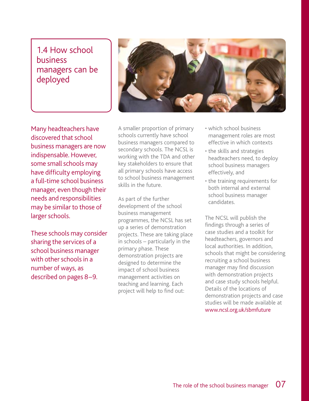# 1.4 How school business managers can be deployed



Many headteachers have discovered that school business managers are now indispensable. However, some small schools may have difficulty employing a full-time school business manager, even though their needs and responsibilities may be similar to those of larger schools.

These schools may consider sharing the services of a school business manager with other schools in a number of ways, as described on pages 8–9.

A smaller proportion of primary schools currently have school business managers compared to secondary schools. The NCSL is working with the TDA and other key stakeholders to ensure that all primary schools have access to school business management skills in the future.

As part of the further development of the school business management programmes, the NCSL has set up a series of demonstration projects. These are taking place in schools – particularly in the primary phase. These demonstration projects are designed to determine the impact of school business management activities on teaching and learning. Each project will help to find out:

- which school business management roles are most effective in which contexts
- the skills and strategies headteachers need, to deploy school business managers effectively, and
- the training requirements for both internal and external school business manager candidates.

The NCSL will publish the findings through a series of case studies and a toolkit for headteachers, governors and local authorities. In addition, schools that might be considering recruiting a school business manager may find discussion with demonstration projects and case study schools helpful. Details of the locations of demonstration projects and case studies will be made available at www.ncsl.org.uk/sbmfuture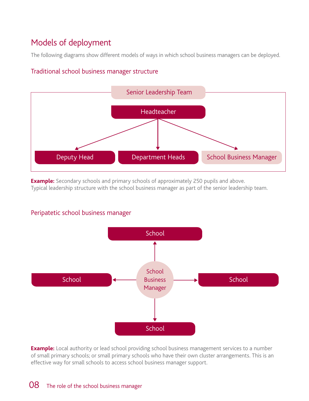# Models of deployment

The following diagrams show different models of ways in which school business managers can be deployed.

# **Headteacher** Deputy Head **Department Heads** School Business Manager Senior Leadership Team

#### Traditional school business manager structure

**Example:** Secondary schools and primary schools of approximately 250 pupils and above.

Typical leadership structure with the school business manager as part of the senior leadership team.

#### Peripatetic school business manager



**Example:** Local authority or lead school providing school business management services to a number of small primary schools; or small primary schools who have their own cluster arrangements. This is an effective way for small schools to access school business manager support.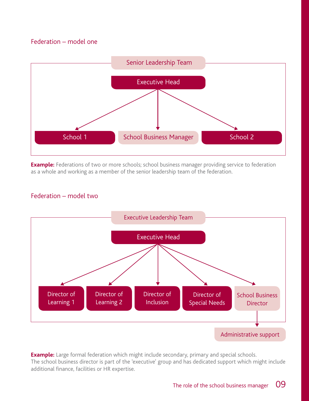#### Federation – model one



**Example:** Federations of two or more schools; school business manager providing service to federation as a whole and working as a member of the senior leadership team of the federation.

#### Federation – model two



**Example:** Large formal federation which might include secondary, primary and special schools. The school business director is part of the 'executive' group and has dedicated support which might include additional finance, facilities or HR expertise.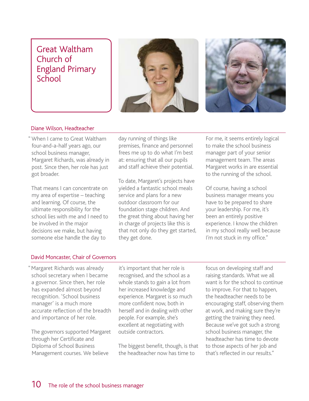# Great Waltham Church of England Primary School





#### Diane Wilson, Headteacher

" When I came to Great Waltham four-and-a-half years ago, our school business manager, Margaret Richards, was already in post. Since then, her role has just got broader.

That means I can concentrate on my area of expertise – teaching and learning. Of course, the ultimate responsibility for the school lies with me and I need to be involved in the major decisions we make, but having someone else handle the day to

day running of things like premises, finance and personnel frees me up to do what I'm best at: ensuring that all our pupils and staff achieve their potential.

To date, Margaret's projects have yielded a fantastic school meals service and plans for a new outdoor classroom for our foundation stage children. And the great thing about having her in charge of projects like this is that not only do they get started, they get done.

For me, it seems entirely logical to make the school business manager part of your senior management team. The areas Margaret works in are essential to the running of the school.

Of course, having a school business manager means you have to be prepared to share your leadership. For me, it's been an entirely positive experience. I know the children in my school really well because I'm not stuck in my office."

#### David Moncaster, Chair of Governors

"Margaret Richards was already school secretary when I became a governor. Since then, her role has expanded almost beyond recognition. 'School business manager' is a much more accurate reflection of the breadth and importance of her role.

The governors supported Margaret through her Certificate and Diploma of School Business Management courses. We believe

it's important that her role is recognised, and the school as a whole stands to gain a lot from her increased knowledge and experience. Margaret is so much more confident now, both in herself and in dealing with other people. For example, she's excellent at negotiating with outside contractors.

The biggest benefit, though, is that the headteacher now has time to

focus on developing staff and raising standards. What we all want is for the school to continue to improve. For that to happen, the headteacher needs to be encouraging staff, observing them at work, and making sure they're getting the training they need. Because we've got such a strong school business manager, the headteacher has time to devote to those aspects of her job and that's reflected in our results."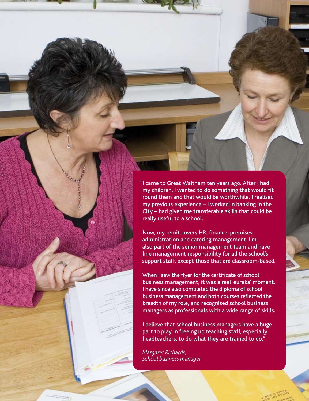" I came to Great Waltham ten years ago. After I had my children, I wanted to do something that would fit round them and that would be worthwhile. I realised my previous experience – I worked in banking in the City – had given me transferable skills that could be really useful to a school.

Now, my remit covers HR, finance, premises, administration and catering management. I'm also part of the senior management team and have line management responsibility for all the school's support staff, except those that are classroom-based.

When I saw the flyer for the certificate of school business management, it was a real 'eureka' moment. I have since also completed the diploma of school business management and both courses reflected the breadth of my role, and recognised school business managers as professionals with a wide range of skills.

I believe that school business managers have a huge part to play in freeing up teaching staff, especially headteachers, to do what they are trained to do."

*Margaret Richards, School business manager*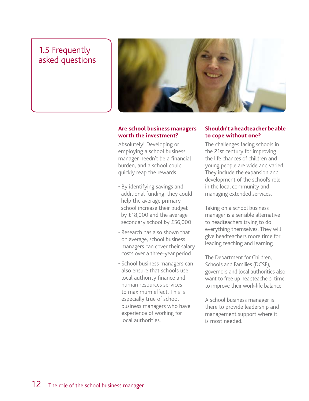# 1.5 Frequently asked questions



#### **Are school business managers worth the investment?**

Absolutely! Developing or employing a school business manager needn't be a financial burden, and a school could quickly reap the rewards.

- By identifying savings and additional funding, they could help the average primary school increase their budget by £18,000 and the average secondary school by £56,000
- Research has also shown that on average, school business managers can cover their salary costs over a three-year period
- School business managers can also ensure that schools use local authority finance and human resources services to maximum effect. This is especially true of school business managers who have experience of working for local authorities.

#### **Shouldn'taheadteacherbeable to cope without one?**

The challenges facing schools in the 21st century for improving the life chances of children and young people are wide and varied. They include the expansion and development of the school's role in the local community and managing extended services.

Taking on a school business manager is a sensible alternative to headteachers trying to do everything themselves. They will give headteachers more time for leading teaching and learning.

The Department for Children, Schools and Families (DCSF), governors and local authorities also want to free up headteachers' time to improve their work-life balance.

A school business manager is there to provide leadership and management support where it is most needed.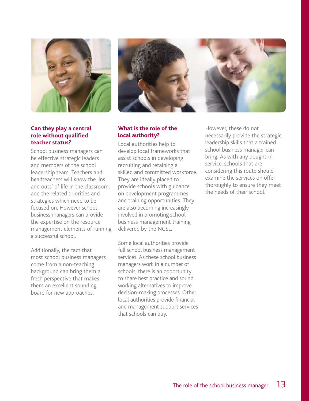

#### **Can they play a central role without qualified teacher status?**

School business managers can be effective strategic leaders and members of the school leadership team. Teachers and headteachers will know the 'ins and outs' of life in the classroom, and the related priorities and strategies which need to be focused on. However school business managers can provide the expertise on the resource management elements of running a successful school.

Additionally, the fact that most school business managers come from a non-teaching background can bring them a fresh perspective that makes them an excellent sounding board for new approaches.



#### **What is the role of the local authority?**

Local authorities help to develop local frameworks that assist schools in developing, recruiting and retaining a skilled and committed workforce. They are ideally placed to provide schools with guidance on development programmes and training opportunities. They are also becoming increasingly involved in promoting school business management training delivered by the NCSL.

Some local authorities provide full school business management services. As these school business managers work in a number of schools, there is an opportunity to share best practice and sound working alternatives to improve decision-making processes. Other local authorities provide financial and management support services that schools can buy.

However, these do not necessarily provide the strategic leadership skills that a trained school business manager can bring. As with any bought-in service, schools that are considering this route should examine the services on offer thoroughly to ensure they meet the needs of their school.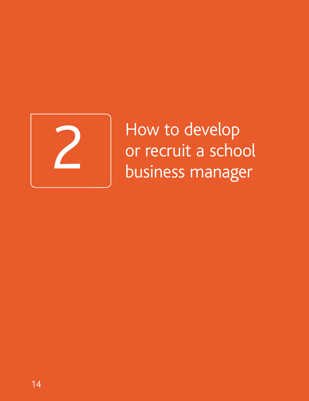

2 How to develop<br>
or recruit a schoo<br>
business manager or recruit a school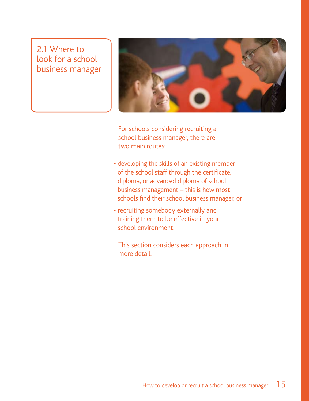# 2.1 Where to look for a school business manager



 For schools considering recruiting a school business manager, there are two main routes:

- developing the skills of an existing member of the school staff through the certificate, diploma, or advanced diploma of school business management – this is how most schools find their school business manager, or
- recruiting somebody externally and training them to be effective in your school environment.

 This section considers each approach in more detail.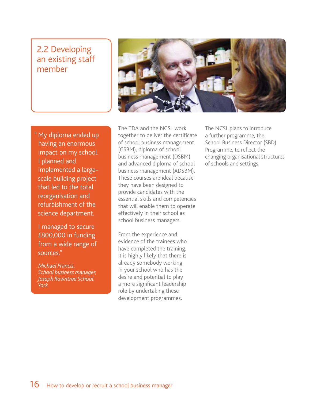# 2.2 Developing an existing staff member



" My diploma ended up having an enormous impact on my school. I planned and implemented a largescale building project that led to the total reorganisation and refurbishment of the science department.

I managed to secure £800,000 in funding from a wide range of sources."

*Michael Francis, School business manager, Joseph Rowntree School, York*

The TDA and the NCSL work together to deliver the certificate of school business management (CSBM), diploma of school business management (DSBM) and advanced diploma of school business management (ADSBM). These courses are ideal because they have been designed to provide candidates with the essential skills and competencies that will enable them to operate effectively in their school as school business managers.

From the experience and evidence of the trainees who have completed the training, it is highly likely that there is already somebody working in your school who has the desire and potential to play a more significant leadership role by undertaking these development programmes.

The NCSL plans to introduce a further programme, the School Business Director (SBD) Programme, to reflect the changing organisational structures of schools and settings.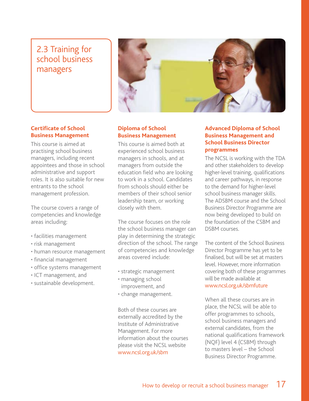# 2.3 Training for school business managers



#### **Certificate of School Business Management**

This course is aimed at practising school business managers, including recent appointees and those in school administrative and support roles. It is also suitable for new entrants to the school management profession.

The course covers a range of competencies and knowledge areas including:

- facilities management
- risk management
- human resource management
- financial management
- office systems management
- ICT management, and
- sustainable development.

#### **Diploma of School Business Management**

This course is aimed both at experienced school business managers in schools, and at managers from outside the education field who are looking to work in a school. Candidates from schools should either be members of their school senior leadership team, or working closely with them.

The course focuses on the role the school business manager can play in determining the strategic direction of the school. The range of competencies and knowledge areas covered include:

- strategic management
- managing school improvement, and
- change management.

Both of these courses are externally accredited by the Institute of Administrative Management. For more information about the courses please visit the NCSL website www.ncsl.org.uk/sbm

#### **Advanced Diploma of School Business Management and School Business Director programmes**

The NCSL is working with the TDA and other stakeholders to develop higher-level training, qualifications and career pathways, in response to the demand for higher-level school business manager skills. The ADSBM course and the School Business Director Programme are now being developed to build on the foundation of the CSBM and DSBM courses.

The content of the School Business Director Programme has yet to be finalised, but will be set at masters level. However, more information covering both of these programmes will be made available at www.ncsl.org.uk/sbmfuture

When all these courses are in place, the NCSL will be able to offer programmes to schools, school business managers and external candidates, from the national qualifications framework (NQF) level 4 (CSBM) through to masters level – the School Business Director Programme.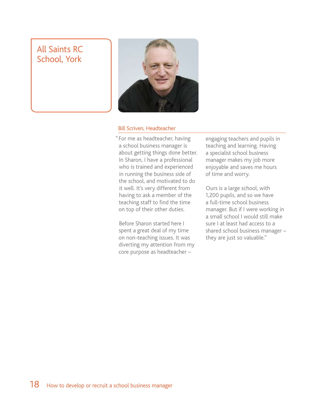# All Saints RC School, York



#### Bill Scriven, Headteacher

"For me as headteacher, having a school business manager is about getting things done better. In Sharon, I have a professional who is trained and experienced in running the business side of the school, and motivated to do it well. It's very different from having to ask a member of the teaching staff to find the time on top of their other duties.

Before Sharon started here I spent a great deal of my time on non-teaching issues. It was diverting my attention from my core purpose as headteacher –

engaging teachers and pupils in teaching and learning. Having a specialist school business manager makes my job more enjoyable and saves me hours of time and worry.

Ours is a large school, with 1,200 pupils, and so we have a full-time school business manager. But if I were working in a small school I would still make sure I at least had access to a shared school business manager – they are just so valuable."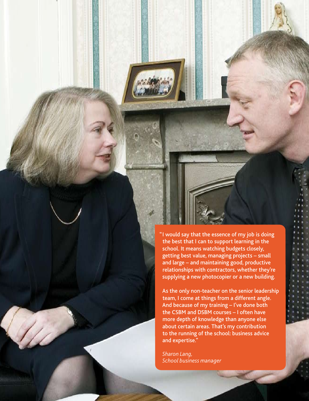"I would say that the essence of my job is doing the best that I can to support learning in the school. It means watching budgets closely, getting best value, managing projects – small and large – and maintaining good, productive relationships with contractors, whether they're supplying a new photocopier or a new building.

As the only non-teacher on the senior leadership team, I come at things from a different angle. And because of my training – I've done both the CSBM and DSBM courses – I often have more depth of knowledge than anyone else about certain areas. That's my contribution to the running of the school: business advice and expertise."

*Sharon Lang, School business manager*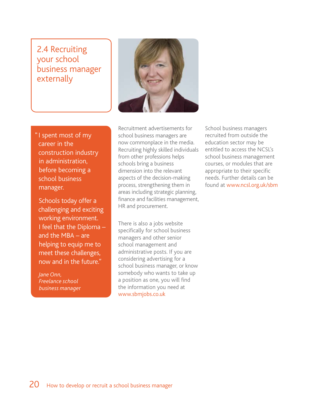# 2.4 Recruiting your school business manager externally



" I spent most of my career in the construction industry in administration, before becoming a school business manager.

Schools today offer a challenging and exciting working environment. I feel that the Diploma – and the MBA – are helping to equip me to meet these challenges, now and in the future."

*Jane Onn, Freelance school business manage*r

Recruitment advertisements for school business managers are now commonplace in the media. Recruiting highly skilled individuals from other professions helps schools bring a business dimension into the relevant aspects of the decision-making process, strengthening them in areas including strategic planning, finance and facilities management, HR and procurement.

There is also a jobs website specifically for school business managers and other senior school management and administrative posts. If you are considering advertising for a school business manager, or know somebody who wants to take up a position as one, you will find the information you need at www.sbmjobs.co.uk

School business managers recruited from outside the education sector may be entitled to access the NCSL's school business management courses, or modules that are appropriate to their specific needs. Further details can be found at www.ncsl.org.uk/sbm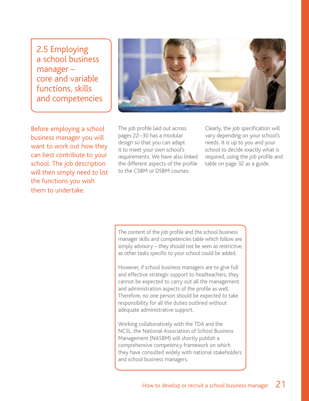2.5 Employing a school business manager – core and variable functions, skills and competencies



Before employing a school business manager you will want to work out how they can best contribute to your school. The job description will then simply need to list the functions you wish them to undertake.

The job profile laid out across pages 22–30 has a modular design so that you can adapt it to meet your own school's requirements. We have also linked the different aspects of the profile to the CSBM or DSBM courses.

Clearly, the job specification will vary depending on your school's needs. It is up to you and your school to decide exactly what is required, using the job profile and table on page 32 as a guide.

The content of the job profile and the school business manager skills and competencies table which follow are simply advisory – they should not be seen as restrictive, as other tasks specific to your school could be added.

However, if school business managers are to give full and effective strategic support to headteachers, they cannot be expected to carry out all the management and administration aspects of the profile as well. Therefore, no one person should be expected to take responsibility for all the duties outlined without adequate administrative support.

Working collaboratively with the TDA and the NCSL, the National Association of School Business Management (NASBM) will shortly publish a comprehensive competency framework on which they have consulted widely with national stakeholders and school business managers.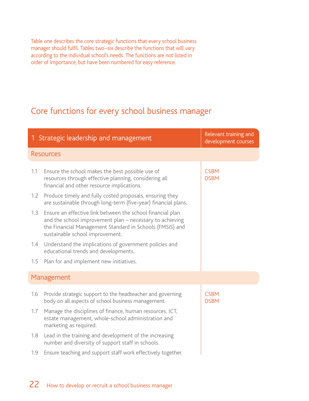Table one describes the core strategic functions that every school business manager should fulfil. Tables two–six describe the functions that will vary according to the individual school's needs. The functions are not listed in order of importance, but have been numbered for easy reference.

# Core functions for every school business manager

|     | 1 Strategic leadership and management                                                                                                                                                                                 | Relevant training and<br>development courses |
|-----|-----------------------------------------------------------------------------------------------------------------------------------------------------------------------------------------------------------------------|----------------------------------------------|
|     | <b>Resources</b>                                                                                                                                                                                                      |                                              |
| 1.1 | Ensure the school makes the best possible use of<br>resources through effective planning, considering all<br>financial and other resource implications.                                                               | <b>CSBM</b><br><b>DSBM</b>                   |
| 1.2 | Produce timely and fully costed proposals, ensuring they<br>are sustainable through long-term (five-year) financial plans.                                                                                            |                                              |
| 1.3 | Ensure an effective link between the school financial plan<br>and the school improvement plan - necessary to achieving<br>the Financial Management Standard in Schools (FMSiS) and<br>sustainable school improvement. |                                              |
| 1.4 | Understand the implications of government policies and<br>educational trends and developments.                                                                                                                        |                                              |
| 1.5 | Plan for and implement new initiatives.                                                                                                                                                                               |                                              |
|     | Management                                                                                                                                                                                                            |                                              |
| 1.6 | Provide strategic support to the headteacher and governing<br>body on all aspects of school business management.                                                                                                      | <b>CSBM</b><br><b>DSBM</b>                   |
| 1.7 | Manage the disciplines of finance, human resources, ICT,<br>estate management, whole-school administration and<br>marketing as required.                                                                              |                                              |
| 1.8 | Lead in the training and development of the increasing<br>number and diversity of support staff in schools.                                                                                                           |                                              |
| 1.9 | Ensure teaching and support staff work effectively together.                                                                                                                                                          |                                              |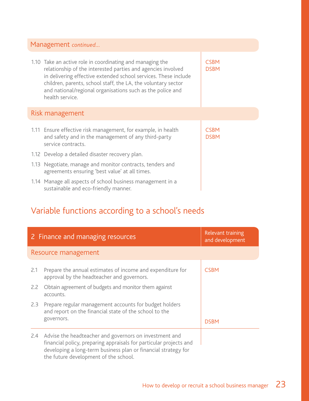| Management continued |                                                                                                                                                                                                                                                                                                                                                |                            |
|----------------------|------------------------------------------------------------------------------------------------------------------------------------------------------------------------------------------------------------------------------------------------------------------------------------------------------------------------------------------------|----------------------------|
|                      | 1.10 Take an active role in coordinating and managing the<br>relationship of the interested parties and agencies involved<br>in delivering effective extended school services. These include<br>children, parents, school staff, the LA, the voluntary sector<br>and national/regional organisations such as the police and<br>health service. | <b>CSBM</b><br><b>DSBM</b> |
|                      | Risk management                                                                                                                                                                                                                                                                                                                                |                            |
|                      | 1.11 Ensure effective risk management, for example, in health<br>and safety and in the management of any third-party<br>service contracts.                                                                                                                                                                                                     | <b>CSBM</b><br><b>DSBM</b> |
|                      | 1.12 Develop a detailed disaster recovery plan.                                                                                                                                                                                                                                                                                                |                            |
|                      | 1.13 Negotiate, manage and monitor contracts, tenders and<br>agreements ensuring 'best value' at all times.                                                                                                                                                                                                                                    |                            |
|                      | 1.14 Manage all aspects of school business management in a<br>sustainable and eco-friendly manner.                                                                                                                                                                                                                                             |                            |

# Variable functions according to a school's needs

|     | 2 Finance and managing resources                                                                                                                                                                                                        | Relevant training<br>and development |  |  |
|-----|-----------------------------------------------------------------------------------------------------------------------------------------------------------------------------------------------------------------------------------------|--------------------------------------|--|--|
|     | Resource management                                                                                                                                                                                                                     |                                      |  |  |
| 2.1 | Prepare the annual estimates of income and expenditure for<br>approval by the headteacher and governors.                                                                                                                                | <b>CSBM</b>                          |  |  |
| 2.2 | Obtain agreement of budgets and monitor them against<br>accounts.                                                                                                                                                                       |                                      |  |  |
| 2.3 | Prepare regular management accounts for budget holders<br>and report on the financial state of the school to the                                                                                                                        |                                      |  |  |
|     | governors.                                                                                                                                                                                                                              | <b>DSBM</b>                          |  |  |
| 2.4 | Advise the headteacher and governors on investment and<br>financial policy, preparing appraisals for particular projects and<br>developing a long-term business plan or financial strategy for<br>the future development of the school. |                                      |  |  |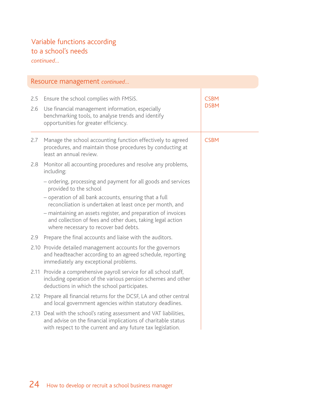# Variable functions according to a school's needs

*continued…*

| Resource management continued |                                                                                                                                                                                                    |                            |  |
|-------------------------------|----------------------------------------------------------------------------------------------------------------------------------------------------------------------------------------------------|----------------------------|--|
| 2.5<br>2.6                    | Ensure the school complies with FMSiS.<br>Use financial management information, especially<br>benchmarking tools, to analyse trends and identify<br>opportunities for greater efficiency.          | <b>CSBM</b><br><b>DSBM</b> |  |
| 2.7                           | Manage the school accounting function effectively to agreed<br>procedures, and maintain those procedures by conducting at<br>least an annual review.                                               | <b>CSBM</b>                |  |
| 2.8                           | Monitor all accounting procedures and resolve any problems,<br>including:                                                                                                                          |                            |  |
|                               | - ordering, processing and payment for all goods and services<br>provided to the school                                                                                                            |                            |  |
|                               | - operation of all bank accounts, ensuring that a full<br>reconciliation is undertaken at least once per month, and                                                                                |                            |  |
|                               | - maintaining an assets register, and preparation of invoices<br>and collection of fees and other dues, taking legal action<br>where necessary to recover bad debts.                               |                            |  |
| 2.9                           | Prepare the final accounts and liaise with the auditors.                                                                                                                                           |                            |  |
|                               | 2.10 Provide detailed management accounts for the governors<br>and headteacher according to an agreed schedule, reporting<br>immediately any exceptional problems.                                 |                            |  |
|                               | 2.11 Provide a comprehensive payroll service for all school staff,<br>including operation of the various pension schemes and other<br>deductions in which the school participates.                 |                            |  |
|                               | 2.12 Prepare all financial returns for the DCSF, LA and other central<br>and local government agencies within statutory deadlines.                                                                 |                            |  |
|                               | 2.13 Deal with the school's rating assessment and VAT liabilities,<br>and advise on the financial implications of charitable status<br>with respect to the current and any future tax legislation. |                            |  |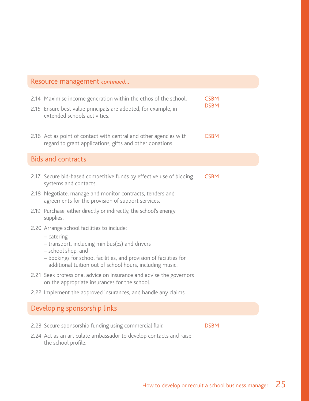| Resource management continued                                                                                                                                                                                                                                       |  |                            |
|---------------------------------------------------------------------------------------------------------------------------------------------------------------------------------------------------------------------------------------------------------------------|--|----------------------------|
| 2.14 Maximise income generation within the ethos of the school.<br>2.15 Ensure best value principals are adopted, for example, in<br>extended schools activities.                                                                                                   |  | <b>CSBM</b><br><b>DSBM</b> |
| 2.16 Act as point of contact with central and other agencies with<br>regard to grant applications, gifts and other donations.                                                                                                                                       |  | <b>CSBM</b>                |
| <b>Bids and contracts</b>                                                                                                                                                                                                                                           |  |                            |
| 2.17 Secure bid-based competitive funds by effective use of bidding<br>systems and contacts.                                                                                                                                                                        |  | <b>CSBM</b>                |
| 2.18 Negotiate, manage and monitor contracts, tenders and<br>agreements for the provision of support services.                                                                                                                                                      |  |                            |
| 2.19 Purchase, either directly or indirectly, the school's energy<br>supplies.                                                                                                                                                                                      |  |                            |
| 2.20 Arrange school facilities to include:<br>$-$ catering<br>- transport, including minibus(es) and drivers<br>- school shop, and<br>- bookings for school facilities, and provision of facilities for<br>additional tuition out of school hours, including music. |  |                            |
| 2.21 Seek professional advice on insurance and advise the governors<br>on the appropriate insurances for the school.                                                                                                                                                |  |                            |
| 2.22 Implement the approved insurances, and handle any claims                                                                                                                                                                                                       |  |                            |
| Developing sponsorship links                                                                                                                                                                                                                                        |  |                            |
| 2.23 Secure sponsorship funding using commercial flair.<br>2.24 Act as an articulate ambassador to develop contacts and raise<br>the school profile.                                                                                                                |  | <b>DSBM</b>                |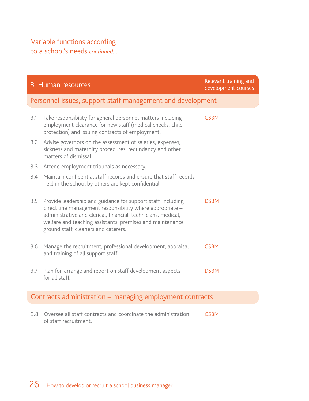### Variable functions according

to a school's needs *continued…*

|     | 3 Human resources                                                                                                                                                                                                                                                                                | Relevant training and<br>development courses |
|-----|--------------------------------------------------------------------------------------------------------------------------------------------------------------------------------------------------------------------------------------------------------------------------------------------------|----------------------------------------------|
|     | Personnel issues, support staff management and development                                                                                                                                                                                                                                       |                                              |
| 3.1 | Take responsibility for general personnel matters including<br>employment clearance for new staff (medical checks, child<br>protection) and issuing contracts of employment.                                                                                                                     | <b>CSBM</b>                                  |
| 3.2 | Advise governors on the assessment of salaries, expenses,<br>sickness and maternity procedures, redundancy and other<br>matters of dismissal.                                                                                                                                                    |                                              |
| 3.3 | Attend employment tribunals as necessary.                                                                                                                                                                                                                                                        |                                              |
| 3.4 | Maintain confidential staff records and ensure that staff records<br>held in the school by others are kept confidential.                                                                                                                                                                         |                                              |
| 3.5 | Provide leadership and guidance for support staff, including<br>direct line management responsibility where appropriate -<br>administrative and clerical, financial, technicians, medical,<br>welfare and teaching assistants, premises and maintenance,<br>ground staff, cleaners and caterers. | <b>DSBM</b>                                  |
| 3.6 | Manage the recruitment, professional development, appraisal<br>and training of all support staff.                                                                                                                                                                                                | <b>CSBM</b>                                  |
| 3.7 | Plan for, arrange and report on staff development aspects<br>for all staff.                                                                                                                                                                                                                      | <b>DSBM</b>                                  |
|     | Contracts administration – managing employment contracts                                                                                                                                                                                                                                         |                                              |
| 3.8 | Oversee all staff contracts and coordinate the administration<br>of staff recruitment.                                                                                                                                                                                                           | <b>CSBM</b>                                  |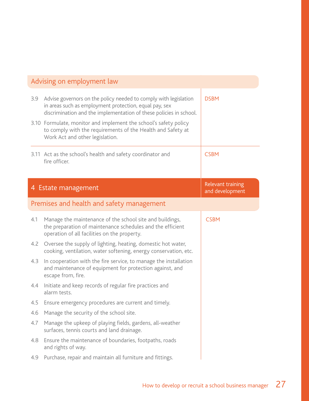| Advising on employment law |                                                                                                                                                                                                                                                                      |                                      |
|----------------------------|----------------------------------------------------------------------------------------------------------------------------------------------------------------------------------------------------------------------------------------------------------------------|--------------------------------------|
| 3.9                        | Advise governors on the policy needed to comply with legislation<br>in areas such as employment protection, equal pay, sex<br>discrimination and the implementation of these policies in school.<br>3.10 Formulate, monitor and implement the school's safety policy | <b>DSBM</b>                          |
|                            | to comply with the requirements of the Health and Safety at<br>Work Act and other legislation.                                                                                                                                                                       |                                      |
|                            | 3.11 Act as the school's health and safety coordinator and<br>fire officer.                                                                                                                                                                                          | <b>CSBM</b>                          |
|                            | 4 Estate management                                                                                                                                                                                                                                                  | Relevant training<br>and development |
|                            | Premises and health and safety management                                                                                                                                                                                                                            |                                      |
| 4.1                        | Manage the maintenance of the school site and buildings,<br>the preparation of maintenance schedules and the efficient<br>operation of all facilities on the property.                                                                                               | <b>CSBM</b>                          |
| 4.2                        | Oversee the supply of lighting, heating, domestic hot water,<br>cooking, ventilation, water softening, energy conservation, etc.                                                                                                                                     |                                      |
| 4.3                        | In cooperation with the fire service, to manage the installation<br>and maintenance of equipment for protection against, and<br>escape from, fire.                                                                                                                   |                                      |
| 4.4                        | Initiate and keep records of regular fire practices and<br>alarm tests.                                                                                                                                                                                              |                                      |
| 4.5                        | Ensure emergency procedures are current and timely.                                                                                                                                                                                                                  |                                      |
| 4.6                        | Manage the security of the school site.                                                                                                                                                                                                                              |                                      |
| 4.7                        | Manage the upkeep of playing fields, gardens, all-weather<br>surfaces, tennis courts and land drainage.                                                                                                                                                              |                                      |
| 4.8                        | Ensure the maintenance of boundaries, footpaths, roads<br>and rights of way.                                                                                                                                                                                         |                                      |
| 4.9                        | Purchase, repair and maintain all furniture and fittings.                                                                                                                                                                                                            |                                      |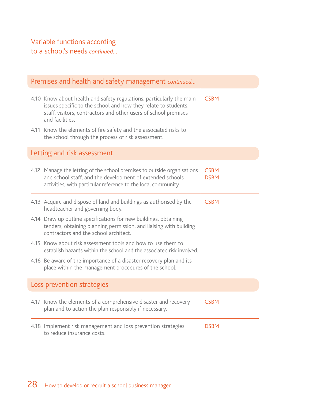to a school's needs *continued…*

| Premises and health and safety management continued |                                                                                                                                                                                                                              |                            |  |
|-----------------------------------------------------|------------------------------------------------------------------------------------------------------------------------------------------------------------------------------------------------------------------------------|----------------------------|--|
|                                                     | 4.10 Know about health and safety regulations, particularly the main<br>issues specific to the school and how they relate to students,<br>staff, visitors, contractors and other users of school premises<br>and facilities. | <b>CSBM</b>                |  |
|                                                     | 4.11 Know the elements of fire safety and the associated risks to<br>the school through the process of risk assessment.                                                                                                      |                            |  |
|                                                     | Letting and risk assessment                                                                                                                                                                                                  |                            |  |
|                                                     | 4.12 Manage the letting of the school premises to outside organisations<br>and school staff, and the development of extended schools<br>activities, with particular reference to the local community.                        | <b>CSBM</b><br><b>DSBM</b> |  |
|                                                     | 4.13 Acquire and dispose of land and buildings as authorised by the<br>headteacher and governing body.                                                                                                                       | <b>CSBM</b>                |  |
|                                                     | 4.14 Draw up outline specifications for new buildings, obtaining<br>tenders, obtaining planning permission, and liaising with building<br>contractors and the school architect.                                              |                            |  |
|                                                     | 4.15 Know about risk assessment tools and how to use them to<br>establish hazards within the school and the associated risk involved.                                                                                        |                            |  |
|                                                     | 4.16 Be aware of the importance of a disaster recovery plan and its<br>place within the management procedures of the school.                                                                                                 |                            |  |
|                                                     | Loss prevention strategies                                                                                                                                                                                                   |                            |  |
|                                                     | 4.17 Know the elements of a comprehensive disaster and recovery<br>plan and to action the plan responsibly if necessary.                                                                                                     | <b>CSBM</b>                |  |
|                                                     | 4.18 Implement risk management and loss prevention strategies<br>to reduce insurance costs.                                                                                                                                  | <b>DSBM</b>                |  |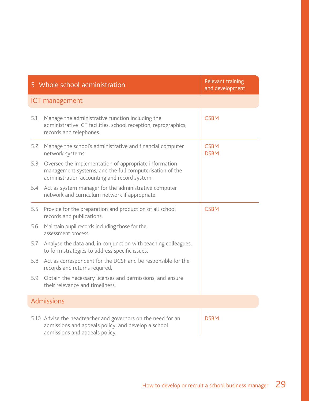|     | 5 Whole school administration                                                                                                                                    | Relevant training<br>and development |
|-----|------------------------------------------------------------------------------------------------------------------------------------------------------------------|--------------------------------------|
|     | ICT management                                                                                                                                                   |                                      |
| 5.1 | Manage the administrative function including the<br>administrative ICT facilities, school reception, reprographics,<br>records and telephones.                   | <b>CSBM</b>                          |
| 5.2 | Manage the school's administrative and financial computer<br>network systems.                                                                                    | <b>CSBM</b><br><b>DSBM</b>           |
| 5.3 | Oversee the implementation of appropriate information<br>management systems; and the full computerisation of the<br>administration accounting and record system. |                                      |
| 5.4 | Act as system manager for the administrative computer<br>network and curriculum network if appropriate.                                                          |                                      |
| 5.5 | Provide for the preparation and production of all school<br>records and publications.                                                                            | <b>CSBM</b>                          |
| 5.6 | Maintain pupil records including those for the<br>assessment process.                                                                                            |                                      |
| 5.7 | Analyse the data and, in conjunction with teaching colleagues,<br>to form strategies to address specific issues.                                                 |                                      |
| 5.8 | Act as correspondent for the DCSF and be responsible for the<br>records and returns required.                                                                    |                                      |
| 5.9 | Obtain the necessary licenses and permissions, and ensure<br>their relevance and timeliness.                                                                     |                                      |
|     | Admissions                                                                                                                                                       |                                      |
|     | 5.10 Advise the headteacher and governors on the need for an<br>admissions and appeals policy; and develop a school<br>admissions and appeals policy.            | <b>DSBM</b>                          |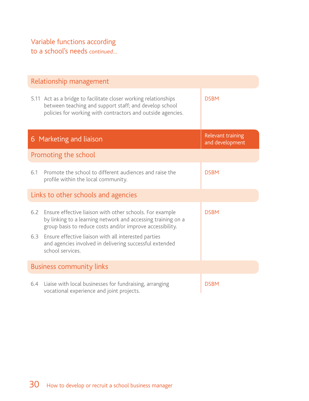|                                     | Relationship management                                                                                                                                                                                                                       |                                      |  |  |
|-------------------------------------|-----------------------------------------------------------------------------------------------------------------------------------------------------------------------------------------------------------------------------------------------|--------------------------------------|--|--|
|                                     | 5.11 Act as a bridge to facilitate closer working relationships<br>between teaching and support staff; and develop school<br>policies for working with contractors and outside agencies.                                                      | <b>DSBM</b>                          |  |  |
|                                     | 6 Marketing and liaison                                                                                                                                                                                                                       | Relevant training<br>and development |  |  |
|                                     | Promoting the school                                                                                                                                                                                                                          |                                      |  |  |
| 6.1                                 | Promote the school to different audiences and raise the<br>profile within the local community.                                                                                                                                                | <b>DSBM</b>                          |  |  |
| Links to other schools and agencies |                                                                                                                                                                                                                                               |                                      |  |  |
| 6.2<br>6.3                          | Ensure effective liaison with other schools. For example<br>by linking to a learning network and accessing training on a<br>group basis to reduce costs and/or improve accessibility.<br>Ensure effective liaison with all interested parties | <b>DSBM</b>                          |  |  |
|                                     | and agencies involved in delivering successful extended<br>school services.                                                                                                                                                                   |                                      |  |  |
| <b>Business community links</b>     |                                                                                                                                                                                                                                               |                                      |  |  |
| 6.4                                 | Liaise with local businesses for fundraising, arranging<br>vocational experience and joint projects.                                                                                                                                          | <b>DSBM</b>                          |  |  |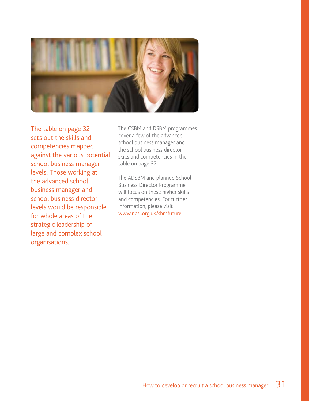

The table on page 32 sets out the skills and competencies mapped against the various potential school business manager levels. Those working at the advanced school business manager and school business director levels would be responsible for whole areas of the strategic leadership of large and complex school organisations.

The CSBM and DSBM programmes cover a few of the advanced school business manager and the school business director skills and competencies in the table on page 32.

The ADSBM and planned School Business Director Programme will focus on these higher skills and competencies. For further information, please visit www.ncsl.org.uk/sbmfuture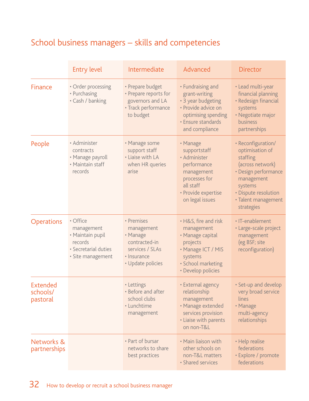# School business managers – skills and competencies

|                                  | <b>Entry level</b>                                                                                 | Intermediate                                                                                                 | Advanced                                                                                                                                        | <b>Director</b>                                                                                                                                                                     |
|----------------------------------|----------------------------------------------------------------------------------------------------|--------------------------------------------------------------------------------------------------------------|-------------------------------------------------------------------------------------------------------------------------------------------------|-------------------------------------------------------------------------------------------------------------------------------------------------------------------------------------|
| Finance                          | • Order processing<br>• Purchasing<br>· Cash / banking                                             | • Prepare budget<br>• Prepare reports for<br>governors and LA<br>• Track performance<br>to budget            | • Fundraising and<br>grant-writing<br>• 3 year budgeting<br>• Provide advice on<br>optimising spending<br>· Ensure standards<br>and compliance  | · Lead multi-year<br>financial planning<br>· Redesign financial<br>systems<br>· Negotiate major<br>business<br>partnerships                                                         |
| People                           | • Administer<br>contracts<br>· Manage payroll<br>• Maintain staff<br>records                       | • Manage some<br>support staff<br>• Liaise with LA<br>when HR queries<br>arise                               | • Manage<br>supportstaff<br>· Administer<br>performance<br>management<br>processes for<br>all staff<br>· Provide expertise<br>on legal issues   | · Reconfiguration/<br>optimisation of<br>staffing<br>(across network)<br>· Design performance<br>management<br>systems<br>• Dispute resolution<br>· Talent management<br>strategies |
| <b>Operations</b>                | • Office<br>management<br>· Maintain pupil<br>records<br>· Secretarial duties<br>· Site management | • Premises<br>management<br>• Manage<br>contracted-in<br>services / SLAs<br>• Insurance<br>• Update policies | • H&S, fire and risk<br>management<br>• Manage capital<br>projects<br>• Manage ICT / MIS<br>systems<br>· School marketing<br>• Develop policies | · IT-enablement<br>· Large-scale project<br>management<br>(eg BSF; site<br>reconfiguration)                                                                                         |
| Extended<br>schools/<br>pastoral |                                                                                                    | • Lettings<br>• Before and after<br>school clubs<br>· Lunchtime<br>management                                | • External agency<br>relationship<br>management<br>· Manage extended<br>services provision<br>· Liaise with parents<br>on non-T&L               | • Set-up and develop<br>very broad service<br>lines<br>• Manage<br>multi-agency<br>relationships                                                                                    |
| Networks &<br>partnerships       |                                                                                                    | • Part of bursar<br>networks to share<br>best practices                                                      | • Main liaison with<br>other schools on<br>non-T&L matters<br>· Shared services                                                                 | • Help realise<br>federations<br>· Explore / promote<br>federations                                                                                                                 |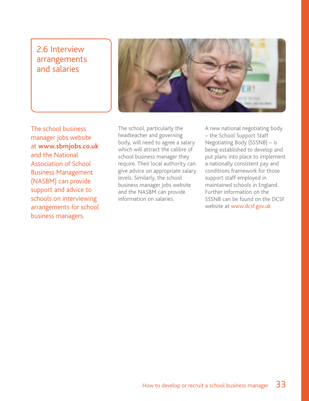# 2.6 Interview arrangements and salaries



The school business manager jobs website at **www.sbmjobs.co.uk** and the National Association of School Business Management (NASBM) can provide support and advice to schools on interviewing arrangements for school business managers.

The school, particularly the headteacher and governing body, will need to agree a salary which will attract the calibre of school business manager they require. Their local authority can give advice on appropriate salary levels. Similarly, the school business manager jobs website and the NASBM can provide information on salaries.

A new national negotiating body – the School Support Staff Negotiating Body (SSSNB) – is being established to develop and put plans into place to implement a nationally consistent pay and conditions framework for those support staff employed in maintained schools in England. Further information on the SSSNB can be found on the DCSF website at www.dcsf.gov.uk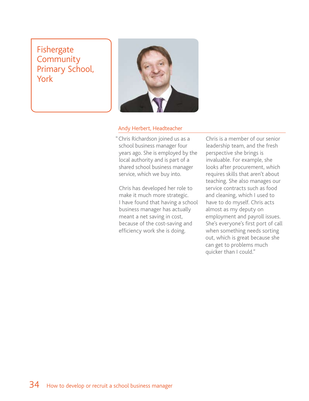Fishergate **Community** Primary School, York



#### Andy Herbert, Headteacher

"Chris Richardson joined us as a school business manager four years ago. She is employed by the local authority and is part of a shared school business manager service, which we buy into.

Chris has developed her role to make it much more strategic. I have found that having a school business manager has actually meant a net saving in cost, because of the cost-saving and efficiency work she is doing.

Chris is a member of our senior leadership team, and the fresh perspective she brings is invaluable. For example, she looks after procurement, which requires skills that aren't about teaching. She also manages our service contracts such as food and cleaning, which I used to have to do myself. Chris acts almost as my deputy on employment and payroll issues. She's everyone's first port of call when something needs sorting out, which is great because she can get to problems much quicker than I could."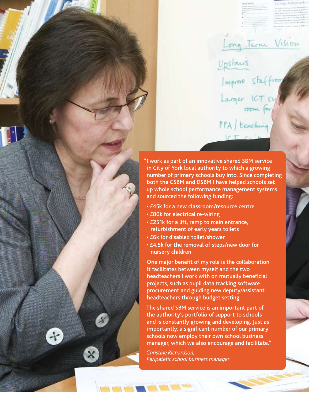

Long Term Vision

Imprine staffing

Larger ICTS

PPA / teaching

Upstairs

- £45k for a new classroom/resource centre
- £80k for electrical re-wiring
- £251k for a lift, ramp to main entrance, refurbishment of early years toilets
- £6k for disabled toilet/shower
- £4.5k for the removal of steps/new door for nursery children

One major benefit of my role is the collaboration it facilitates between myself and the two headteachers I work with on mutually beneficial projects, such as pupil data tracking software procurement and guiding new deputy/assistant headteachers through budget setting.

The shared SBM service is an important part of the authority's portfolio of support to schools and is constantly growing and developing. Just as importantly, a significant number of our primary schools now employ their own school business manager, which we also encourage and facilitate."

*Christine Richardson, Peripatetic school business manager*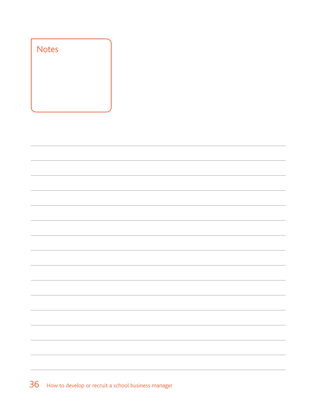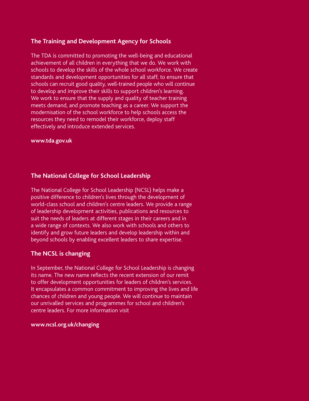#### **The Training and Development Agency for Schools**

The TDA is committed to promoting the well-being and educational achievement of all children in everything that we do. We work with schools to develop the skills of the whole school workforce. We create standards and development opportunities for all staff, to ensure that schools can recruit good quality, well-trained people who will continue to develop and improve their skills to support children's learning. We work to ensure that the supply and quality of teacher training meets demand, and promote teaching as a career. We support the modernisation of the school workforce to help schools access the resources they need to remodel their workforce, deploy staff effectively and introduce extended services.

#### **www.tda.gov.uk**

#### **The National College for School Leadership**

The National College for School Leadership (NCSL) helps make a positive difference to children's lives through the development of world-class school and children's centre leaders. We provide a range of leadership development activities, publications and resources to suit the needs of leaders at different stages in their careers and in a wide range of contexts. We also work with schools and others to identify and grow future leaders and develop leadership within and beyond schools by enabling excellent leaders to share expertise.

#### **The NCSL is changing**

In September, the National College for School Leadership is changing its name. The new name reflects the recent extension of our remit to offer development opportunities for leaders of children's services. It encapsulates a common commitment to improving the lives and life chances of children and young people. We will continue to maintain our unrivalled services and programmes for school and children's centre leaders. For more information visit

#### **www.ncsl.org.uk/changing**